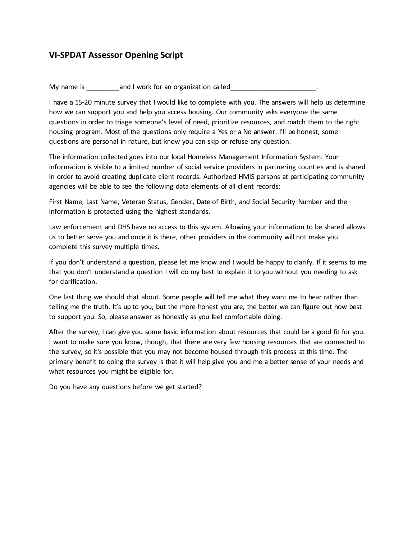## **VI-SPDAT Assessor Opening Script**

My name is \_\_\_\_\_\_\_\_\_and I work for an organization called\_\_\_\_\_\_\_\_\_\_\_\_\_\_\_\_\_\_\_\_\_\_\_.

I have a 15-20 minute survey that I would like to complete with you. The answers will help us determine how we can support you and help you access housing. Our community asks everyone the same questions in order to triage someone's level of need, prioritize resources, and match them to the right housing program. Most of the questions only require a Yes or a No answer. I'll be honest, some questions are personal in nature, but know you can skip or refuse any question.

The information collected goes into our local Homeless Management Information System. Your information is visible to a limited number of social service providers in partnering counties and is shared in order to avoid creating duplicate client records. Authorized HMIS persons at participating community agencies will be able to see the following data elements of all client records:

First Name, Last Name, Veteran Status, Gender, Date of Birth, and Social Security Number and the information is protected using the highest standards.

Law enforcement and DHS have no access to this system. Allowing your information to be shared allows us to better serve you and once it is there, other providers in the community will not make you complete this survey multiple times.

If you don't understand a question, please let me know and I would be happy to clarify. If it seems to me that you don't understand a question I will do my best to explain it to you without you needing to ask for clarification.

One last thing we should chat about. Some people will tell me what they want me to hear rather than telling me the truth. It's up to you, but the more honest you are, the better we can figure out how best to support you. So, please answer as honestly as you feel comfortable doing.

After the survey, I can give you some basic information about resources that could be a good fit for you. I want to make sure you know, though, that there are very few housing resources that are connected to the survey, so it's possible that you may not become housed through this process at this time. The primary benefit to doing the survey is that it will help give you and me a better sense of your needs and what resources you might be eligible for.

Do you have any questions before we get started?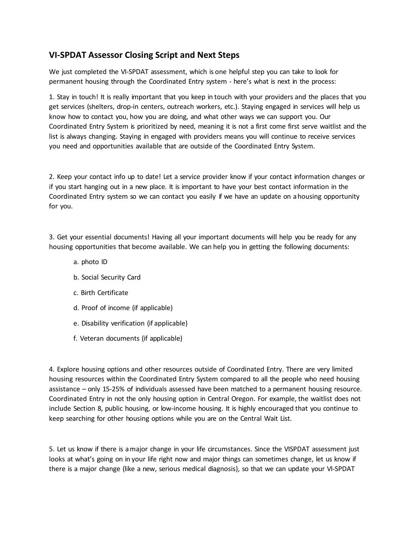## **VI-SPDAT Assessor Closing Script and Next Steps**

We just completed the VI-SPDAT assessment, which is one helpful step you can take to look for permanent housing through the Coordinated Entry system - here's what is next in the process:

1. Stay in touch! It is really important that you keep in touch with your providers and the places that you get services (shelters, drop-in centers, outreach workers, etc.). Staying engaged in services will help us know how to contact you, how you are doing, and what other ways we can support you. Our Coordinated Entry System is prioritized by need, meaning it is not a first come first serve waitlist and the list is always changing. Staying in engaged with providers means you will continue to receive services you need and opportunities available that are outside of the Coordinated Entry System.

2. Keep your contact info up to date! Let a service provider know if your contact information changes or if you start hanging out in a new place. It is important to have your best contact information in the Coordinated Entry system so we can contact you easily if we have an update on a housing opportunity for you.

3. Get your essential documents! Having all your important documents will help you be ready for any housing opportunities that become available. We can help you in getting the following documents:

- a. photo ID
- b. Social Security Card
- c. Birth Certificate
- d. Proof of income (if applicable)
- e. Disability verification (if applicable)
- f. Veteran documents (if applicable)

4. Explore housing options and other resources outside of Coordinated Entry. There are very limited housing resources within the Coordinated Entry System compared to all the people who need housing assistance – only 15-25% of individuals assessed have been matched to a permanent housing resource. Coordinated Entry in not the only housing option in Central Oregon. For example, the waitlist does not include Section 8, public housing, or low-income housing. It is highly encouraged that you continue to keep searching for other housing options while you are on the Central Wait List.

5. Let us know if there is a major change in your life circumstances. Since the VISPDAT assessment just looks at what's going on in your life right now and major things can sometimes change, let us know if there is a major change (like a new, serious medical diagnosis), so that we can update your VI-SPDAT